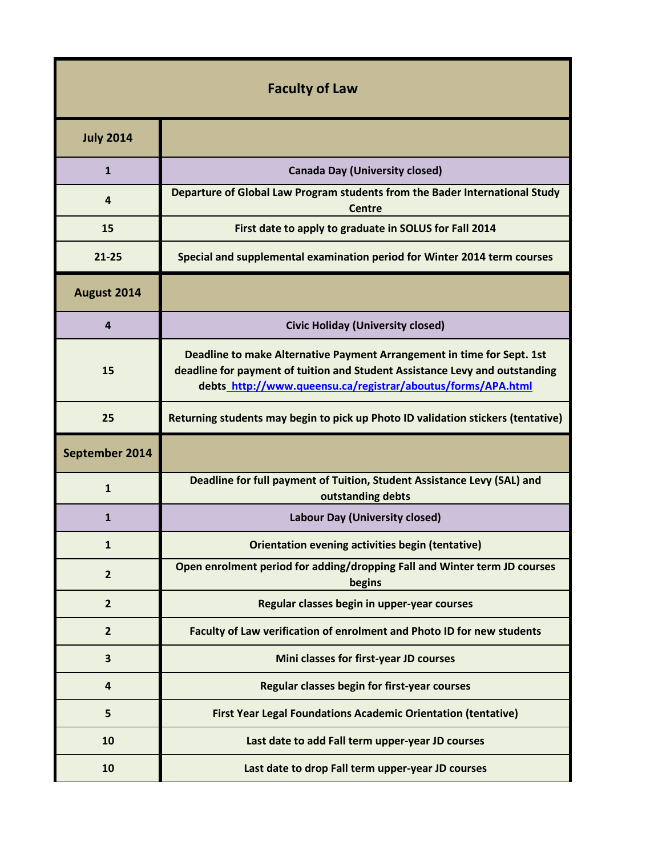| <b>Faculty of Law</b> |                                                                                                                                                                                                                       |
|-----------------------|-----------------------------------------------------------------------------------------------------------------------------------------------------------------------------------------------------------------------|
| <b>July 2014</b>      |                                                                                                                                                                                                                       |
| $\mathbf{1}$          | <b>Canada Day (University closed)</b>                                                                                                                                                                                 |
| 4                     | Departure of Global Law Program students from the Bader International Study<br><b>Centre</b>                                                                                                                          |
| 15                    | First date to apply to graduate in SOLUS for Fall 2014                                                                                                                                                                |
| $21 - 25$             | Special and supplemental examination period for Winter 2014 term courses                                                                                                                                              |
| August 2014           |                                                                                                                                                                                                                       |
| 4                     | <b>Civic Holiday (University closed)</b>                                                                                                                                                                              |
| 15                    | Deadline to make Alternative Payment Arrangement in time for Sept. 1st<br>deadline for payment of tuition and Student Assistance Levy and outstanding<br>debts_http://www.queensu.ca/registrar/aboutus/forms/APA.html |
| 25                    | Returning students may begin to pick up Photo ID validation stickers (tentative)                                                                                                                                      |
| September 2014        |                                                                                                                                                                                                                       |
| $\mathbf{1}$          | Deadline for full payment of Tuition, Student Assistance Levy (SAL) and<br>outstanding debts                                                                                                                          |
| $\mathbf{1}$          | <b>Labour Day (University closed)</b>                                                                                                                                                                                 |
| 1                     | <b>Orientation evening activities begin (tentative)</b>                                                                                                                                                               |
| $\overline{2}$        | Open enrolment period for adding/dropping Fall and Winter term JD courses<br>begins                                                                                                                                   |
| $\overline{2}$        | Regular classes begin in upper-year courses                                                                                                                                                                           |
| $\overline{2}$        | Faculty of Law verification of enrolment and Photo ID for new students                                                                                                                                                |
| 3                     | Mini classes for first-year JD courses                                                                                                                                                                                |
| 4                     | Regular classes begin for first-year courses                                                                                                                                                                          |
| 5                     | <b>First Year Legal Foundations Academic Orientation (tentative)</b>                                                                                                                                                  |
| 10                    | Last date to add Fall term upper-year JD courses                                                                                                                                                                      |
| 10                    | Last date to drop Fall term upper-year JD courses                                                                                                                                                                     |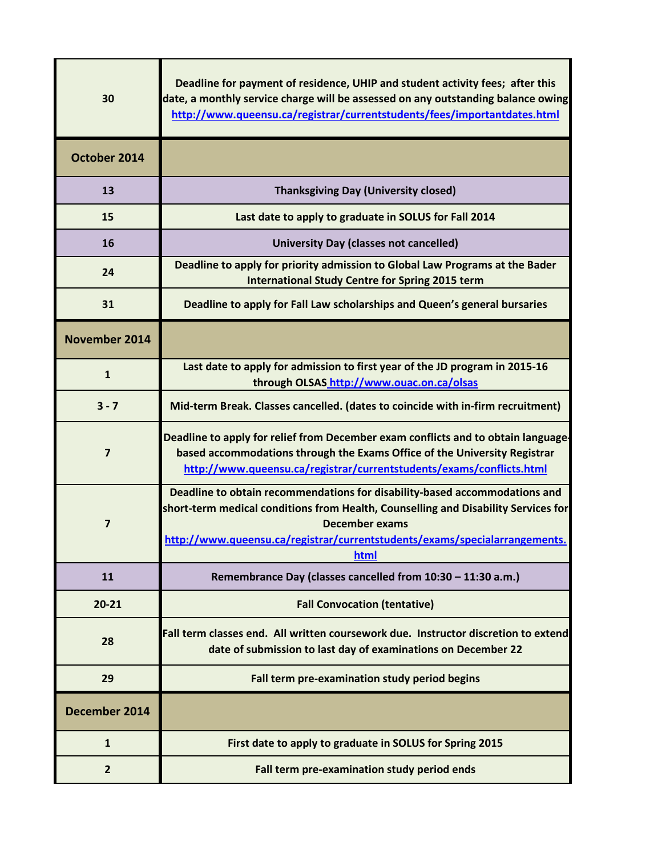| 30                   | Deadline for payment of residence, UHIP and student activity fees; after this<br>date, a monthly service charge will be assessed on any outstanding balance owing<br>http://www.queensu.ca/registrar/currentstudents/fees/importantdates.html                                   |
|----------------------|---------------------------------------------------------------------------------------------------------------------------------------------------------------------------------------------------------------------------------------------------------------------------------|
| October 2014         |                                                                                                                                                                                                                                                                                 |
| 13                   | <b>Thanksgiving Day (University closed)</b>                                                                                                                                                                                                                                     |
| 15                   | Last date to apply to graduate in SOLUS for Fall 2014                                                                                                                                                                                                                           |
| 16                   | <b>University Day (classes not cancelled)</b>                                                                                                                                                                                                                                   |
| 24                   | Deadline to apply for priority admission to Global Law Programs at the Bader<br><b>International Study Centre for Spring 2015 term</b>                                                                                                                                          |
| 31                   | Deadline to apply for Fall Law scholarships and Queen's general bursaries                                                                                                                                                                                                       |
| <b>November 2014</b> |                                                                                                                                                                                                                                                                                 |
| $\mathbf{1}$         | Last date to apply for admission to first year of the JD program in 2015-16<br>through OLSAS http://www.ouac.on.ca/olsas                                                                                                                                                        |
| $3 - 7$              | Mid-term Break. Classes cancelled. (dates to coincide with in-firm recruitment)                                                                                                                                                                                                 |
| $\overline{7}$       | Deadline to apply for relief from December exam conflicts and to obtain language<br>based accommodations through the Exams Office of the University Registrar<br>http://www.queensu.ca/registrar/currentstudents/exams/conflicts.html                                           |
| $\overline{7}$       | Deadline to obtain recommendations for disability-based accommodations and<br>short-term medical conditions from Health, Counselling and Disability Services for<br><b>December exams</b><br>http://www.queensu.ca/registrar/currentstudents/exams/specialarrangements.<br>html |
| 11                   | Remembrance Day (classes cancelled from 10:30 - 11:30 a.m.)                                                                                                                                                                                                                     |
| $20 - 21$            | <b>Fall Convocation (tentative)</b>                                                                                                                                                                                                                                             |
| 28                   | Fall term classes end. All written coursework due. Instructor discretion to extend<br>date of submission to last day of examinations on December 22                                                                                                                             |
| 29                   | Fall term pre-examination study period begins                                                                                                                                                                                                                                   |
| December 2014        |                                                                                                                                                                                                                                                                                 |
| $\mathbf{1}$         | First date to apply to graduate in SOLUS for Spring 2015                                                                                                                                                                                                                        |
| $\overline{2}$       | Fall term pre-examination study period ends                                                                                                                                                                                                                                     |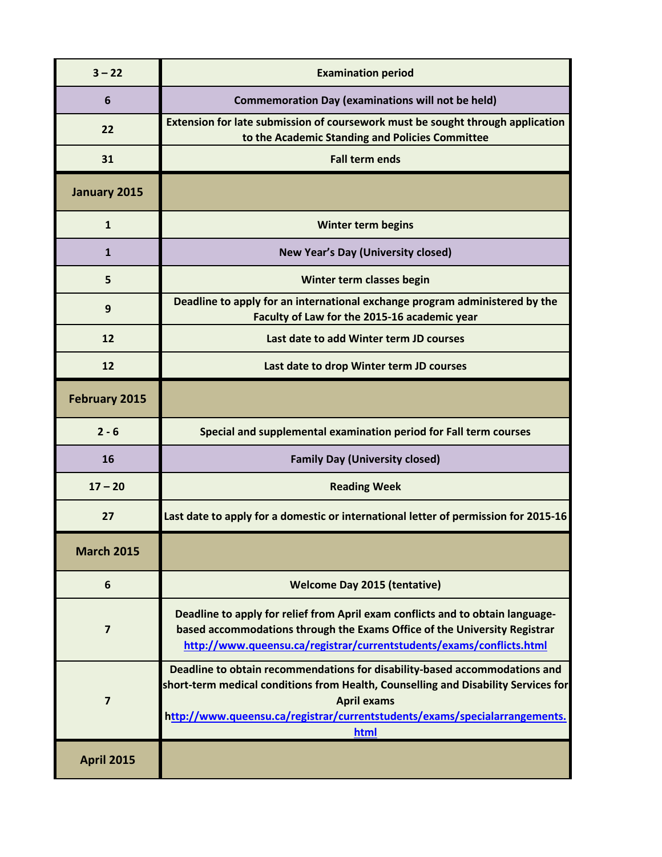| $3 - 22$             | <b>Examination period</b>                                                                                                                                                                                                                                                    |
|----------------------|------------------------------------------------------------------------------------------------------------------------------------------------------------------------------------------------------------------------------------------------------------------------------|
| 6                    | <b>Commemoration Day (examinations will not be held)</b>                                                                                                                                                                                                                     |
| 22                   | Extension for late submission of coursework must be sought through application<br>to the Academic Standing and Policies Committee                                                                                                                                            |
| 31                   | <b>Fall term ends</b>                                                                                                                                                                                                                                                        |
| January 2015         |                                                                                                                                                                                                                                                                              |
| $\mathbf{1}$         | <b>Winter term begins</b>                                                                                                                                                                                                                                                    |
| 1                    | <b>New Year's Day (University closed)</b>                                                                                                                                                                                                                                    |
| 5                    | Winter term classes begin                                                                                                                                                                                                                                                    |
| 9                    | Deadline to apply for an international exchange program administered by the<br>Faculty of Law for the 2015-16 academic year                                                                                                                                                  |
| 12                   | Last date to add Winter term JD courses                                                                                                                                                                                                                                      |
| 12                   | Last date to drop Winter term JD courses                                                                                                                                                                                                                                     |
| <b>February 2015</b> |                                                                                                                                                                                                                                                                              |
| $2 - 6$              | Special and supplemental examination period for Fall term courses                                                                                                                                                                                                            |
| 16                   | <b>Family Day (University closed)</b>                                                                                                                                                                                                                                        |
| $17 - 20$            | <b>Reading Week</b>                                                                                                                                                                                                                                                          |
| 27                   | Last date to apply for a domestic or international letter of permission for 2015-16                                                                                                                                                                                          |
| <b>March 2015</b>    |                                                                                                                                                                                                                                                                              |
| 6                    | <b>Welcome Day 2015 (tentative)</b>                                                                                                                                                                                                                                          |
| 7                    | Deadline to apply for relief from April exam conflicts and to obtain language-<br>based accommodations through the Exams Office of the University Registrar<br>http://www.queensu.ca/registrar/currentstudents/exams/conflicts.html                                          |
| $\overline{7}$       | Deadline to obtain recommendations for disability-based accommodations and<br>short-term medical conditions from Health, Counselling and Disability Services for<br><b>April exams</b><br>http://www.queensu.ca/registrar/currentstudents/exams/specialarrangements.<br>html |
| <b>April 2015</b>    |                                                                                                                                                                                                                                                                              |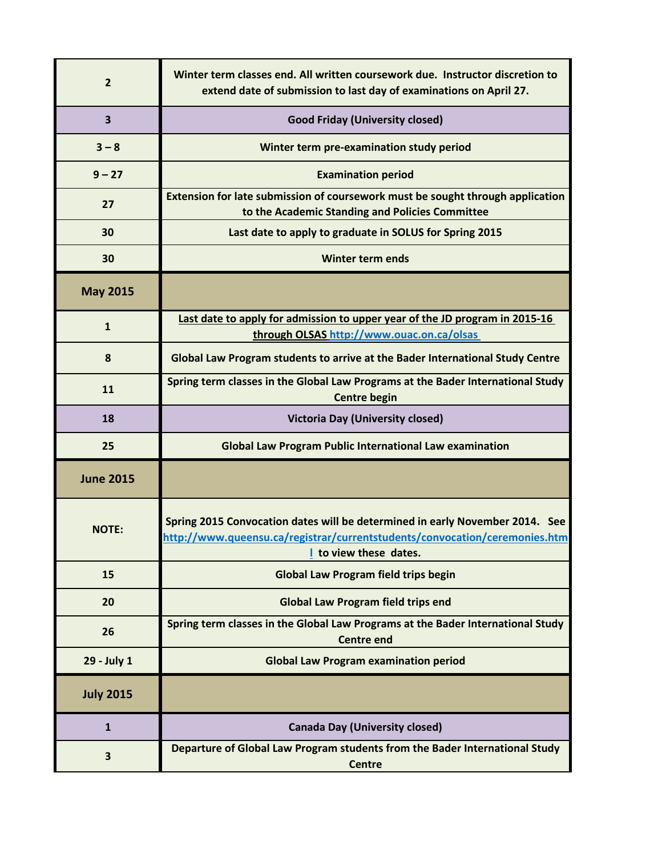| $\overline{2}$          | Winter term classes end. All written coursework due. Instructor discretion to<br>extend date of submission to last day of examinations on April 27.                                  |
|-------------------------|--------------------------------------------------------------------------------------------------------------------------------------------------------------------------------------|
| $\overline{\mathbf{3}}$ | <b>Good Friday (University closed)</b>                                                                                                                                               |
| $3 - 8$                 | Winter term pre-examination study period                                                                                                                                             |
| $9 - 27$                | <b>Examination period</b>                                                                                                                                                            |
| 27                      | Extension for late submission of coursework must be sought through application<br>to the Academic Standing and Policies Committee                                                    |
| 30                      | Last date to apply to graduate in SOLUS for Spring 2015                                                                                                                              |
| 30                      | <b>Winter term ends</b>                                                                                                                                                              |
| <b>May 2015</b>         |                                                                                                                                                                                      |
| $\mathbf{1}$            | Last date to apply for admission to upper year of the JD program in 2015-16<br>through OLSAS http://www.ouac.on.ca/olsas                                                             |
| 8                       | Global Law Program students to arrive at the Bader International Study Centre                                                                                                        |
| 11                      | Spring term classes in the Global Law Programs at the Bader International Study<br><b>Centre begin</b>                                                                               |
| 18                      | <b>Victoria Day (University closed)</b>                                                                                                                                              |
| 25                      | <b>Global Law Program Public International Law examination</b>                                                                                                                       |
| <b>June 2015</b>        |                                                                                                                                                                                      |
| <b>NOTE:</b>            | Spring 2015 Convocation dates will be determined in early November 2014. See<br>http://www.queensu.ca/registrar/currentstudents/convocation/ceremonies.htm<br>I to view these dates. |
| 15                      | <b>Global Law Program field trips begin</b>                                                                                                                                          |
| 20                      | <b>Global Law Program field trips end</b>                                                                                                                                            |
| 26                      | Spring term classes in the Global Law Programs at the Bader International Study<br><b>Centre end</b>                                                                                 |
| 29 - July 1             | <b>Global Law Program examination period</b>                                                                                                                                         |
| <b>July 2015</b>        |                                                                                                                                                                                      |
| $\mathbf{1}$            | <b>Canada Day (University closed)</b>                                                                                                                                                |
| 3                       | Departure of Global Law Program students from the Bader International Study<br><b>Centre</b>                                                                                         |